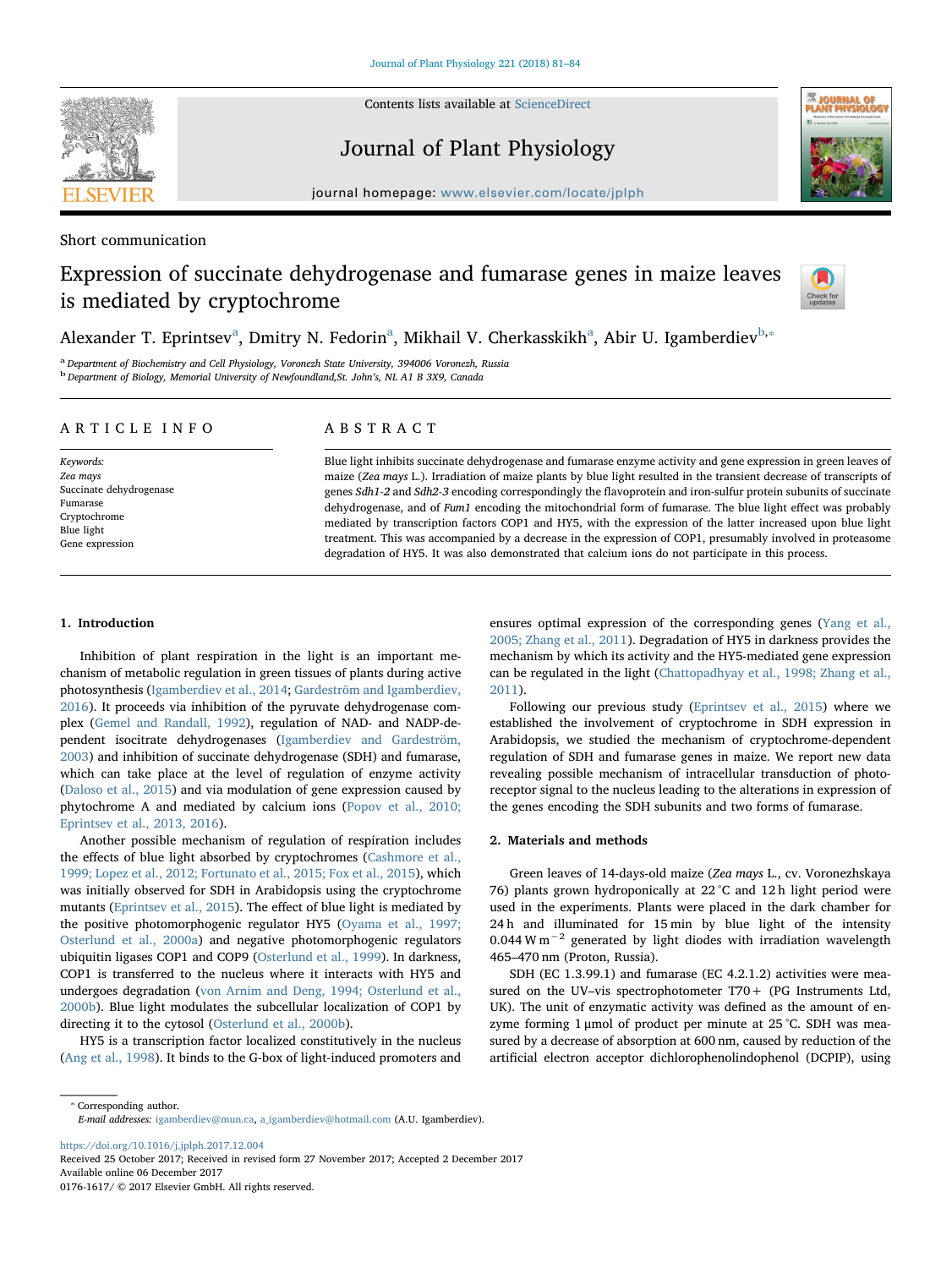

Contents lists available at [ScienceDirect](http://www.sciencedirect.com/science/journal/01761617)

Journal of Plant Physiology



journal homepage: [www.elsevier.com/locate/jplph](https://www.elsevier.com/locate/jplph)

Short communication

# Expression of succinate dehydrogenase and fumarase genes in maize leaves is mediated by cryptochrome



Alex[a](#page-0-0)nder T. Eprintsev<sup>a</sup>, Dmitry N. Fedorin<sup>a</sup>, Mikhail V. Cherkasskikh<sup>a</sup>, Abir U. Igamberdiev<sup>[b,](#page-0-1)</sup>\*

<span id="page-0-1"></span><span id="page-0-0"></span><sup>a</sup> Department of Biochemistry and Cell Physiology, Voronezh State University, 394006 Voronezh, Russia <sup>b</sup> Department of Biology, Memorial University of Newfoundland, St. John's, NL A1 B 3X9, Canada

## ARTICLE INFO

Keywords: Zea mays Succinate dehydrogenase Fumarase Cryptochrome Blue light Gene expression

## ABSTRACT

Blue light inhibits succinate dehydrogenase and fumarase enzyme activity and gene expression in green leaves of maize (Zea mays L.). Irradiation of maize plants by blue light resulted in the transient decrease of transcripts of genes Sdh1-2 and Sdh2-3 encoding correspondingly the flavoprotein and iron-sulfur protein subunits of succinate dehydrogenase, and of Fum1 encoding the mitochondrial form of fumarase. The blue light effect was probably mediated by transcription factors COP1 and HY5, with the expression of the latter increased upon blue light treatment. This was accompanied by a decrease in the expression of COP1, presumably involved in proteasome degradation of HY5. It was also demonstrated that calcium ions do not participate in this process.

## 1. Introduction

Inhibition of plant respiration in the light is an important mechanism of metabolic regulation in green tissues of plants during active photosynthesis ([Igamberdiev et al., 2014](#page-3-0); [Gardeström and Igamberdiev,](#page-3-1) [2016\)](#page-3-1). It proceeds via inhibition of the pyruvate dehydrogenase complex [\(Gemel and Randall, 1992\)](#page-3-2), regulation of NAD- and NADP-dependent isocitrate dehydrogenases ([Igamberdiev and Gardeström,](#page-3-3) [2003\)](#page-3-3) and inhibition of succinate dehydrogenase (SDH) and fumarase, which can take place at the level of regulation of enzyme activity ([Daloso et al., 2015\)](#page-3-4) and via modulation of gene expression caused by phytochrome A and mediated by calcium ions [\(Popov et al., 2010;](#page-3-5) [Eprintsev et al., 2013, 2016](#page-3-5)).

Another possible mechanism of regulation of respiration includes the effects of blue light absorbed by cryptochromes [\(Cashmore et al.,](#page-3-6) [1999; Lopez et al., 2012; Fortunato et al., 2015; Fox et al., 2015\)](#page-3-6), which was initially observed for SDH in Arabidopsis using the cryptochrome mutants [\(Eprintsev et al., 2015\)](#page-3-7). The effect of blue light is mediated by the positive photomorphogenic regulator HY5 ([Oyama et al., 1997;](#page-3-8) [Osterlund et al., 2000a](#page-3-8)) and negative photomorphogenic regulators ubiquitin ligases COP1 and COP9 [\(Osterlund et al., 1999\)](#page-3-9). In darkness, COP1 is transferred to the nucleus where it interacts with HY5 and undergoes degradation [\(von Arnim and Deng, 1994; Osterlund et al.,](#page-3-10) [2000b\)](#page-3-10). Blue light modulates the subcellular localization of COP1 by directing it to the cytosol ([Osterlund et al., 2000b](#page-3-11)).

HY5 is a transcription factor localized constitutively in the nucleus ([Ang et al., 1998\)](#page-3-12). It binds to the G-box of light-induced promoters and ensures optimal expression of the corresponding genes ([Yang et al.,](#page-3-13) [2005; Zhang et al., 2011\)](#page-3-13). Degradation of HY5 in darkness provides the mechanism by which its activity and the HY5-mediated gene expression can be regulated in the light [\(Chattopadhyay et al., 1998; Zhang et al.,](#page-3-14) [2011\)](#page-3-14).

Following our previous study [\(Eprintsev et al., 2015\)](#page-3-7) where we established the involvement of cryptochrome in SDH expression in Arabidopsis, we studied the mechanism of cryptochrome-dependent regulation of SDH and fumarase genes in maize. We report new data revealing possible mechanism of intracellular transduction of photoreceptor signal to the nucleus leading to the alterations in expression of the genes encoding the SDH subunits and two forms of fumarase.

## 2. Materials and methods

Green leaves of 14-days-old maize (Zea mays L., cv. Voronezhskaya 76) plants grown hydroponically at 22 °C and 12 h light period were used in the experiments. Plants were placed in the dark chamber for 24 h and illuminated for 15 min by blue light of the intensity 0.044 W m<sup> $-2$ </sup> generated by light diodes with irradiation wavelength 465–470 nm (Proton, Russia).

SDH (EC 1.3.99.1) and fumarase (EC 4.2.1.2) activities were measured on the UV–vis spectrophotometer T70+ (PG Instruments Ltd, UK). The unit of enzymatic activity was defined as the amount of enzyme forming 1 μmol of product per minute at 25 °C. SDH was measured by a decrease of absorption at 600 nm, caused by reduction of the artificial electron acceptor dichlorophenolindophenol (DCPIP), using

<https://doi.org/10.1016/j.jplph.2017.12.004>

Received 25 October 2017; Received in revised form 27 November 2017; Accepted 2 December 2017 Available online 06 December 2017

0176-1617/ © 2017 Elsevier GmbH. All rights reserved.

<span id="page-0-2"></span><sup>⁎</sup> Corresponding author. E-mail addresses: [igamberdiev@mun.ca](mailto:igamberdiev@mun.ca), [a\\_igamberdiev@hotmail.com](mailto:a_igamberdiev@hotmail.com) (A.U. Igamberdiev).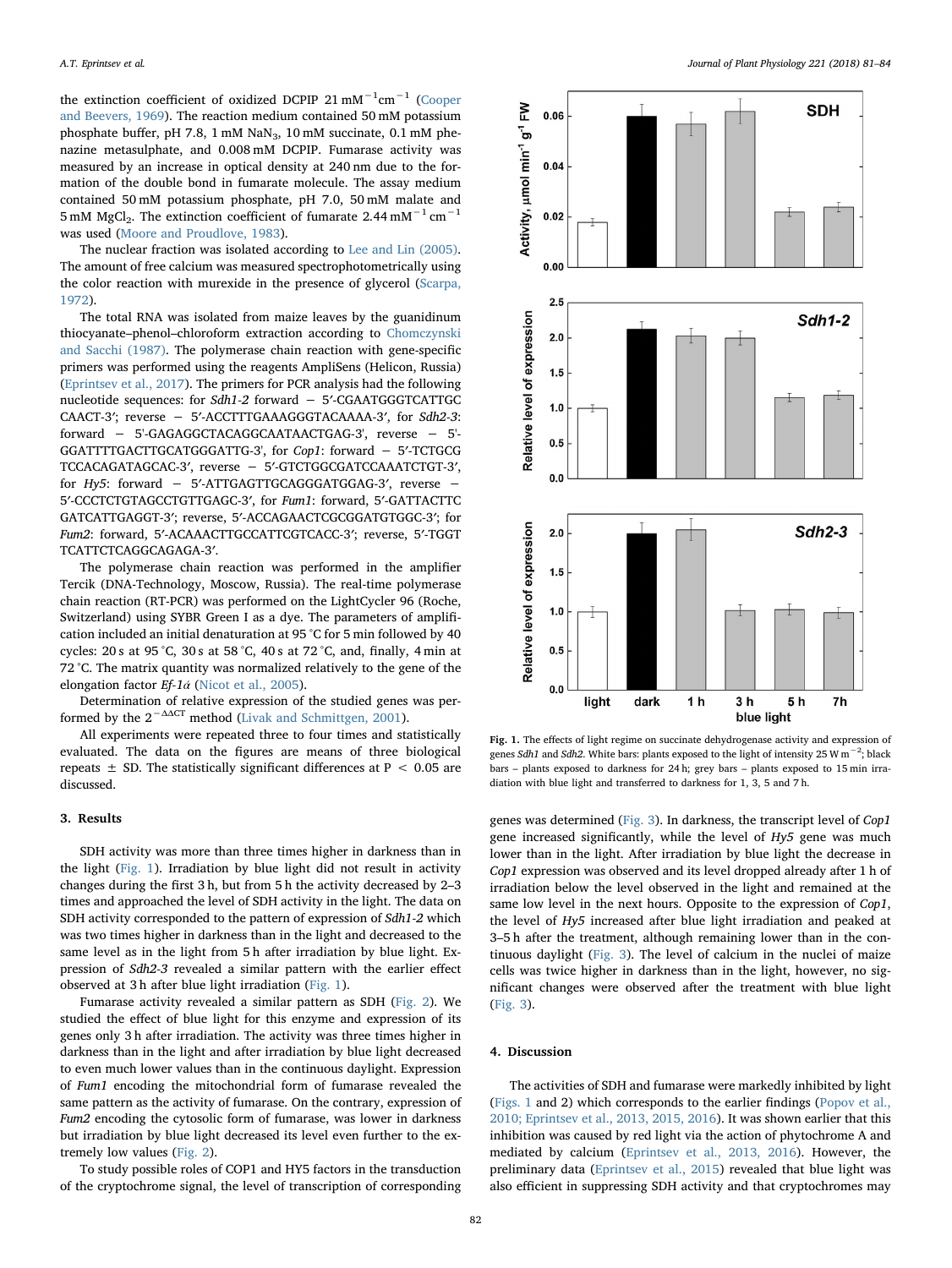the extinction coefficient of oxidized DCPIP 21 mM<sup>-1</sup>cm<sup>-1</sup> ([Cooper](#page-3-15) [and Beevers, 1969\)](#page-3-15). The reaction medium contained 50 mM potassium phosphate buffer, pH 7.8, 1 mM NaN<sub>3</sub>, 10 mM succinate, 0.1 mM phenazine metasulphate, and 0.008 mM DCPIP. Fumarase activity was measured by an increase in optical density at 240 nm due to the formation of the double bond in fumarate molecule. The assay medium contained 50 mM potassium phosphate, pH 7.0, 50 mM malate and 5 mM MgCl<sub>2</sub>. The extinction coefficient of fumarate 2.44 mM<sup> $-1$ </sup> cm<sup>-1</sup> was used ([Moore and Proudlove, 1983](#page-3-16)).

The nuclear fraction was isolated according to [Lee and Lin \(2005\)](#page-3-17). The amount of free calcium was measured spectrophotometrically using the color reaction with murexide in the presence of glycerol ([Scarpa,](#page-3-18) [1972\)](#page-3-18).

The total RNA was isolated from maize leaves by the guanidinum thiocyanate–phenol–chloroform extraction according to [Chomczynski](#page-3-19) [and Sacchi \(1987\).](#page-3-19) The polymerase chain reaction with gene-specific primers was performed using the reagents AmpliSens (Helicon, Russia) ([Eprintsev et al., 2017\)](#page-3-20). The primers for PCR analysis had the following nucleotide sequences: for Sdh1-2 forward − 5′-CGAATGGGTCATTGC CAACT-3′; reverse − 5′-ACCTTTGAAAGGGTACAAAA-3′, for Sdh2-3: forward − 5'-GAGAGGCTACAGGCAATAACTGAG-3', reverse − 5'- GGATTTTGACTTGCATGGGATTG-3', for Cop1: forward − 5′-TCTGCG TCCACAGATAGCAC-3′, reverse − 5′-GTCTGGCGATCCAAATCTGT-3′, for Hy5: forward − 5′-ATTGAGTTGCAGGGATGGAG-3′, reverse − 5′-CCCTCTGTAGCCTGTTGAGC-3′, for Fum1: forward, 5′-GATTACTTC GATCATTGAGGT-3′; reverse, 5′-ACCAGAACTCGCGGATGTGGC-3′; for Fum2: forward, 5′-ACAAACTTGCCATTCGTCACC-3′; reverse, 5′-TGGT TCATTCTCAGGCAGAGA-3′.

The polymerase chain reaction was performed in the amplifier Tercik (DNA-Technology, Moscow, Russia). The real-time polymerase chain reaction (RT-PCR) was performed on the LightCycler 96 (Roche, Switzerland) using SYBR Green I as a dye. The parameters of amplification included an initial denaturation at 95 °C for 5 min followed by 40 cycles: 20 s at 95 °C, 30 s at 58 °C, 40 s at 72 °C, and, finally, 4 min at 72 °C. The matrix quantity was normalized relatively to the gene of the elongation factor  $Ef-1á$  ([Nicot et al., 2005](#page-3-21)).

Determination of relative expression of the studied genes was performed by the  $2^{-\Delta\Delta CT}$  method [\(Livak and Schmittgen, 2001](#page-3-22)).

All experiments were repeated three to four times and statistically evaluated. The data on the figures are means of three biological repeats  $\pm$  SD. The statistically significant differences at P  $\lt$  0.05 are discussed.

#### 3. Results

SDH activity was more than three times higher in darkness than in the light [\(Fig. 1\)](#page-1-0). Irradiation by blue light did not result in activity changes during the first 3 h, but from 5 h the activity decreased by 2–3 times and approached the level of SDH activity in the light. The data on SDH activity corresponded to the pattern of expression of Sdh1-2 which was two times higher in darkness than in the light and decreased to the same level as in the light from 5 h after irradiation by blue light. Expression of Sdh2-3 revealed a similar pattern with the earlier effect observed at 3 h after blue light irradiation ([Fig. 1](#page-1-0)).

Fumarase activity revealed a similar pattern as SDH ([Fig. 2\)](#page-2-0). We studied the effect of blue light for this enzyme and expression of its genes only 3 h after irradiation. The activity was three times higher in darkness than in the light and after irradiation by blue light decreased to even much lower values than in the continuous daylight. Expression of Fum1 encoding the mitochondrial form of fumarase revealed the same pattern as the activity of fumarase. On the contrary, expression of Fum2 encoding the cytosolic form of fumarase, was lower in darkness but irradiation by blue light decreased its level even further to the extremely low values ([Fig. 2](#page-2-0)).

To study possible roles of COP1 and HY5 factors in the transduction of the cryptochrome signal, the level of transcription of corresponding

<span id="page-1-0"></span>

Fig. 1. The effects of light regime on succinate dehydrogenase activity and expression of genes Sdh1 and Sdh2. White bars: plants exposed to the light of intensity 25 W m<sup>-2</sup>; black bars – plants exposed to darkness for 24 h; grey bars – plants exposed to 15 min irradiation with blue light and transferred to darkness for 1, 3, 5 and 7 h.

genes was determined ([Fig. 3\)](#page-2-1). In darkness, the transcript level of Cop1 gene increased significantly, while the level of Hy5 gene was much lower than in the light. After irradiation by blue light the decrease in Cop1 expression was observed and its level dropped already after 1 h of irradiation below the level observed in the light and remained at the same low level in the next hours. Opposite to the expression of Cop1, the level of Hy5 increased after blue light irradiation and peaked at 3–5 h after the treatment, although remaining lower than in the continuous daylight [\(Fig. 3\)](#page-2-1). The level of calcium in the nuclei of maize cells was twice higher in darkness than in the light, however, no significant changes were observed after the treatment with blue light ([Fig. 3\)](#page-2-1).

#### 4. Discussion

The activities of SDH and fumarase were markedly inhibited by light ([Figs. 1](#page-1-0) and 2) which corresponds to the earlier findings [\(Popov et al.,](#page-3-5) [2010; Eprintsev et al., 2013, 2015, 2016](#page-3-5)). It was shown earlier that this inhibition was caused by red light via the action of phytochrome A and mediated by calcium (Eprintsev [et al., 2013, 2016](#page-3-23)). However, the preliminary data [\(Eprintsev et al., 2015](#page-3-7)) revealed that blue light was also efficient in suppressing SDH activity and that cryptochromes may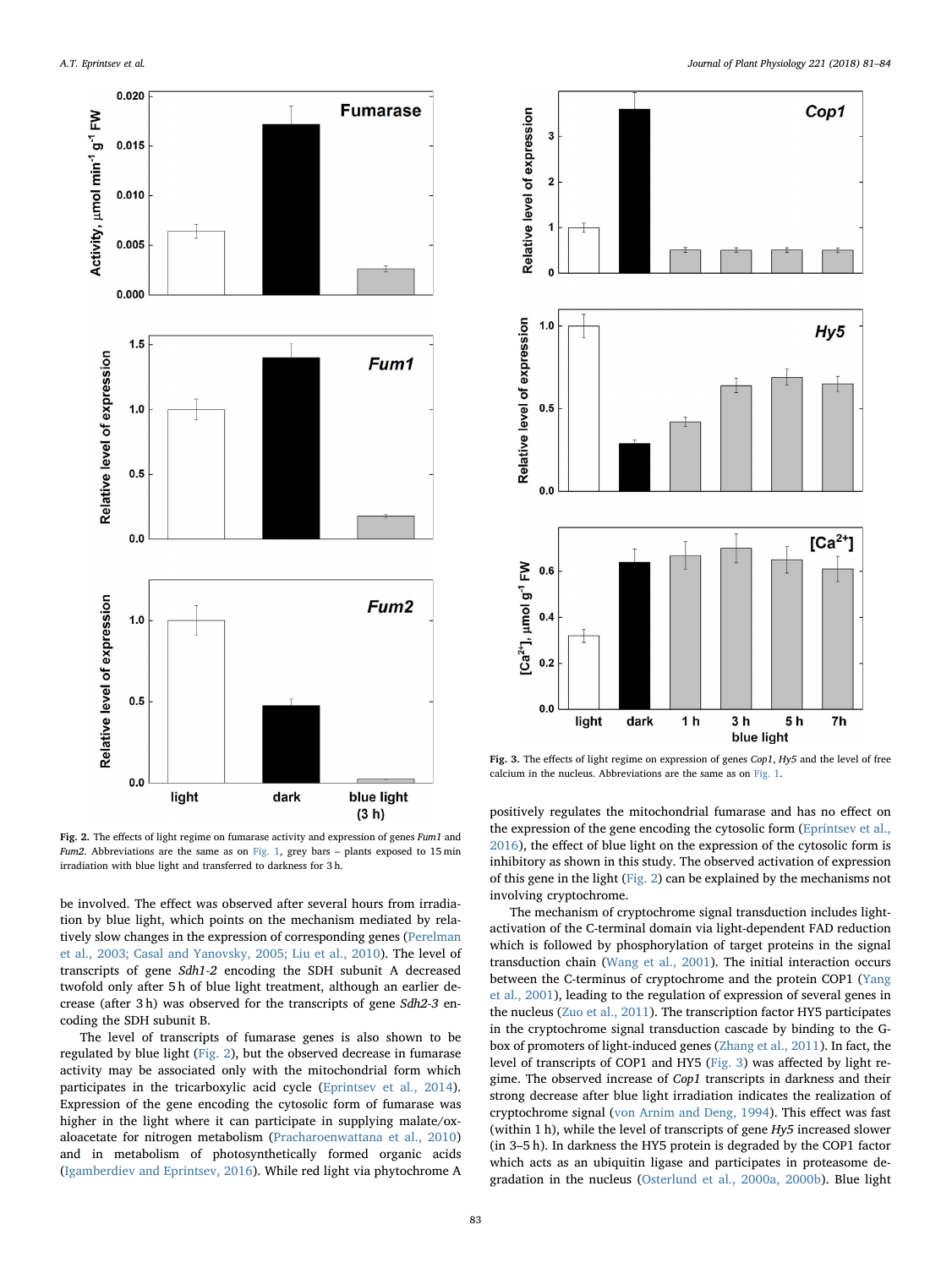<span id="page-2-0"></span>

<span id="page-2-1"></span>

Fig. 3. The effects of light regime on expression of genes Cop1, Hy5 and the level of free calcium in the nucleus. Abbreviations are the same as on [Fig. 1](#page-1-0).

Fig. 2. The effects of light regime on fumarase activity and expression of genes Fum1 and Fum2. Abbreviations are the same as on [Fig. 1](#page-1-0), grey bars  $-$  plants exposed to 15 min irradiation with blue light and transferred to darkness for 3 h.

be involved. The effect was observed after several hours from irradiation by blue light, which points on the mechanism mediated by relatively slow changes in the expression of corresponding genes [\(Perelman](#page-3-24) [et al., 2003; Casal and Yanovsky, 2005; Liu et al., 2010\)](#page-3-24). The level of transcripts of gene Sdh1-2 encoding the SDH subunit A decreased twofold only after 5 h of blue light treatment, although an earlier decrease (after 3 h) was observed for the transcripts of gene Sdh2-3 encoding the SDH subunit B.

The level of transcripts of fumarase genes is also shown to be regulated by blue light [\(Fig. 2](#page-2-0)), but the observed decrease in fumarase activity may be associated only with the mitochondrial form which participates in the tricarboxylic acid cycle [\(Eprintsev et al., 2014](#page-3-25)). Expression of the gene encoding the cytosolic form of fumarase was higher in the light where it can participate in supplying malate/oxaloacetate for nitrogen metabolism [\(Pracharoenwattana et al., 2010\)](#page-3-26) and in metabolism of photosynthetically formed organic acids ([Igamberdiev and Eprintsev, 2016](#page-3-27)). While red light via phytochrome A positively regulates the mitochondrial fumarase and has no effect on the expression of the gene encoding the cytosolic form ([Eprintsev et al.,](#page-3-28) [2016\)](#page-3-28), the effect of blue light on the expression of the cytosolic form is inhibitory as shown in this study. The observed activation of expression of this gene in the light [\(Fig. 2\)](#page-2-0) can be explained by the mechanisms not involving cryptochrome.

The mechanism of cryptochrome signal transduction includes lightactivation of the C-terminal domain via light-dependent FAD reduction which is followed by phosphorylation of target proteins in the signal transduction chain ([Wang et al., 2001\)](#page-3-29). The initial interaction occurs between the C-terminus of cryptochrome and the protein COP1 ([Yang](#page-3-30) [et al., 2001\)](#page-3-30), leading to the regulation of expression of several genes in the nucleus ([Zuo et al., 2011\)](#page-3-31). The transcription factor HY5 participates in the cryptochrome signal transduction cascade by binding to the Gbox of promoters of light-induced genes [\(Zhang et al., 2011](#page-3-32)). In fact, the level of transcripts of COP1 and HY5 ([Fig. 3](#page-2-1)) was affected by light regime. The observed increase of Cop1 transcripts in darkness and their strong decrease after blue light irradiation indicates the realization of cryptochrome signal [\(von Arnim and Deng, 1994\)](#page-3-10). This effect was fast (within 1 h), while the level of transcripts of gene Hy5 increased slower (in 3–5 h). In darkness the HY5 protein is degraded by the COP1 factor which acts as an ubiquitin ligase and participates in proteasome degradation in the nucleus ([Osterlund et al., 2000a, 2000b\)](#page-3-33). Blue light